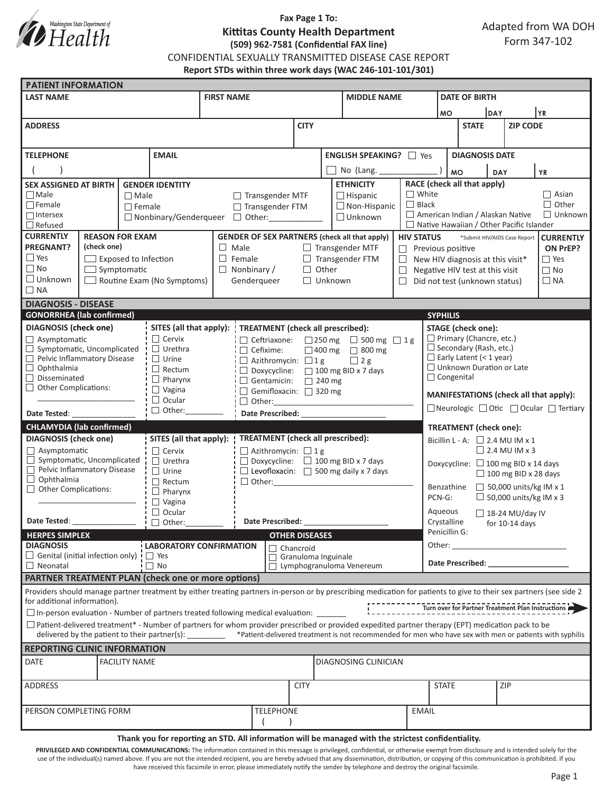

# **Fax Page 1 To: Kittitas County Health Department (509) 962-7581 (Confidential FAX line)**

CONFIDENTIAL SEXUALLY TRANSMITTED DISEASE CASE REPORT

**Report STDs within three work days (WAC 246-101-101/301)**

| <b>PATIENT INFORMATION</b>                                                                                                                                                                                                                               |                                                                                                                                                                                                                                                                                                                                                                                                                        |                                 |                                |                                                                                                     |                                                                                                     |                  |                       |                                             |                                                                                           |                                                                       |                                              |                 |                                       |                  |  |
|----------------------------------------------------------------------------------------------------------------------------------------------------------------------------------------------------------------------------------------------------------|------------------------------------------------------------------------------------------------------------------------------------------------------------------------------------------------------------------------------------------------------------------------------------------------------------------------------------------------------------------------------------------------------------------------|---------------------------------|--------------------------------|-----------------------------------------------------------------------------------------------------|-----------------------------------------------------------------------------------------------------|------------------|-----------------------|---------------------------------------------|-------------------------------------------------------------------------------------------|-----------------------------------------------------------------------|----------------------------------------------|-----------------|---------------------------------------|------------------|--|
| <b>LAST NAME</b>                                                                                                                                                                                                                                         |                                                                                                                                                                                                                                                                                                                                                                                                                        |                                 |                                | <b>FIRST NAME</b>                                                                                   |                                                                                                     |                  |                       | <b>MIDDLE NAME</b>                          |                                                                                           |                                                                       | <b>DATE OF BIRTH</b>                         |                 |                                       |                  |  |
|                                                                                                                                                                                                                                                          |                                                                                                                                                                                                                                                                                                                                                                                                                        |                                 |                                |                                                                                                     |                                                                                                     |                  |                       |                                             |                                                                                           | <b>DAY</b><br><b>MO</b>                                               |                                              |                 | YR                                    |                  |  |
| <b>ADDRESS</b>                                                                                                                                                                                                                                           |                                                                                                                                                                                                                                                                                                                                                                                                                        |                                 |                                |                                                                                                     | <b>CITY</b>                                                                                         |                  |                       |                                             |                                                                                           | <b>STATE</b>                                                          |                                              | <b>ZIP CODE</b> |                                       |                  |  |
|                                                                                                                                                                                                                                                          |                                                                                                                                                                                                                                                                                                                                                                                                                        |                                 |                                |                                                                                                     |                                                                                                     |                  |                       |                                             |                                                                                           |                                                                       |                                              |                 |                                       |                  |  |
| <b>TELEPHONE</b><br><b>EMAIL</b>                                                                                                                                                                                                                         |                                                                                                                                                                                                                                                                                                                                                                                                                        |                                 |                                |                                                                                                     |                                                                                                     |                  |                       | <b>ENGLISH SPEAKING?</b> □ Yes              |                                                                                           |                                                                       | <b>DIAGNOSIS DATE</b>                        |                 |                                       |                  |  |
|                                                                                                                                                                                                                                                          |                                                                                                                                                                                                                                                                                                                                                                                                                        |                                 |                                |                                                                                                     |                                                                                                     |                  | No (Lang.             |                                             |                                                                                           | <b>MO</b>                                                             |                                              |                 |                                       |                  |  |
| <b>SEX ASSIGNED AT BIRTH</b><br><b>GENDER IDENTITY</b>                                                                                                                                                                                                   |                                                                                                                                                                                                                                                                                                                                                                                                                        |                                 |                                |                                                                                                     |                                                                                                     |                  | <b>ETHNICITY</b>      |                                             |                                                                                           | DAY                                                                   |                                              |                 | <b>YR</b>                             |                  |  |
| $\Box$ Male<br>$\Box$ Male                                                                                                                                                                                                                               |                                                                                                                                                                                                                                                                                                                                                                                                                        |                                 |                                | $\Box$ Transgender MTF<br>$\Box$ Hispanic                                                           |                                                                                                     |                  |                       |                                             |                                                                                           | RACE (check all that apply)<br>$\Box$ White<br>$\Box$ Asian           |                                              |                 |                                       |                  |  |
| $\Box$ Female                                                                                                                                                                                                                                            |                                                                                                                                                                                                                                                                                                                                                                                                                        | $\Box$ Female                   |                                | □ Transgender FTM                                                                                   |                                                                                                     |                  | $\Box$ Non-Hispanic   | $\Box$ Black                                |                                                                                           |                                                                       |                                              |                 | $\Box$ Other                          |                  |  |
| $\Box$ Intersex                                                                                                                                                                                                                                          |                                                                                                                                                                                                                                                                                                                                                                                                                        |                                 |                                | $\Box$ Unknown<br>□ Nonbinary/Genderqueer □ Other:                                                  |                                                                                                     |                  |                       |                                             |                                                                                           |                                                                       | American Indian / Alaskan Native             |                 |                                       | $\Box$ Unknown   |  |
| $\Box$ Refused<br><b>CURRENTLY</b><br><b>REASON FOR EXAM</b>                                                                                                                                                                                             |                                                                                                                                                                                                                                                                                                                                                                                                                        |                                 |                                |                                                                                                     |                                                                                                     |                  |                       |                                             | $\Box$ Native Hawaiian / Other Pacific Islander                                           |                                                                       |                                              |                 |                                       |                  |  |
| <b>PREGNANT?</b><br>(check one)                                                                                                                                                                                                                          |                                                                                                                                                                                                                                                                                                                                                                                                                        |                                 |                                | <b>GENDER OF SEX PARTNERS (check all that apply)</b><br>$\Box$ Male<br>$\Box$ Transgender MTF       |                                                                                                     |                  |                       |                                             | <b>HIV STATUS</b><br>*Submit HIV/AIDS Case Report<br>$\Box$ Previous positive<br>ON PrEP? |                                                                       |                                              |                 |                                       | <b>CURRENTLY</b> |  |
| $\Box$ Yes                                                                                                                                                                                                                                               | $\Box$ Exposed to Infection                                                                                                                                                                                                                                                                                                                                                                                            |                                 |                                | $\Box$ Female<br>$\Box$ Transgender FTM                                                             |                                                                                                     |                  |                       |                                             |                                                                                           | $\Box$ Yes<br>$\Box$ New HIV diagnosis at this visit*                 |                                              |                 |                                       |                  |  |
| $\Box$ No<br>$\Box$ Symptomatic                                                                                                                                                                                                                          |                                                                                                                                                                                                                                                                                                                                                                                                                        |                                 |                                | $\Box$ Nonbinary /                                                                                  |                                                                                                     |                  | $\Box$ Other          | $\Box$                                      |                                                                                           |                                                                       | $\Box$ No<br>Negative HIV test at this visit |                 |                                       |                  |  |
| $\Box$ Unknown<br>$\Box$ Routine Exam (No Symptoms)                                                                                                                                                                                                      |                                                                                                                                                                                                                                                                                                                                                                                                                        |                                 |                                | Genderqueer                                                                                         |                                                                                                     |                  |                       | $\Box$ Unknown                              |                                                                                           |                                                                       | $\Box$ Did not test (unknown status)         |                 |                                       | $\Box$ NA        |  |
| $\Box$ NA                                                                                                                                                                                                                                                |                                                                                                                                                                                                                                                                                                                                                                                                                        |                                 |                                |                                                                                                     |                                                                                                     |                  |                       |                                             |                                                                                           |                                                                       |                                              |                 |                                       |                  |  |
| <b>DIAGNOSIS - DISEASE</b>                                                                                                                                                                                                                               |                                                                                                                                                                                                                                                                                                                                                                                                                        |                                 |                                |                                                                                                     |                                                                                                     |                  |                       |                                             |                                                                                           |                                                                       |                                              |                 |                                       |                  |  |
| <b>GONORRHEA</b> (lab confirmed)<br><b>SYPHILIS</b>                                                                                                                                                                                                      |                                                                                                                                                                                                                                                                                                                                                                                                                        |                                 |                                |                                                                                                     |                                                                                                     |                  |                       |                                             |                                                                                           |                                                                       |                                              |                 |                                       |                  |  |
| <b>DIAGNOSIS</b> (check one)                                                                                                                                                                                                                             |                                                                                                                                                                                                                                                                                                                                                                                                                        |                                 | $\Box$ Cervix                  | SITES (all that apply):<br><b>TREATMENT</b> (check all prescribed):                                 |                                                                                                     |                  |                       |                                             |                                                                                           | <b>STAGE</b> (check one):                                             |                                              |                 |                                       |                  |  |
| $\Box$ Asymptomatic<br>$\Box$ Symptomatic, Uncomplicated                                                                                                                                                                                                 |                                                                                                                                                                                                                                                                                                                                                                                                                        |                                 | $\Box$ Urethra                 | $\Box$ Ceftriaxone: $\Box$ 250 mg $\Box$ 500 mg $\Box$ 1 g<br>$\Box$ Cefixime:<br>□ 400 mg □ 800 mg |                                                                                                     |                  |                       |                                             |                                                                                           | $\Box$ Primary (Chancre, etc.)<br>$\Box$ Secondary (Rash, etc.)       |                                              |                 |                                       |                  |  |
| Pelvic Inflammatory Disease<br>$\Box$ Urine                                                                                                                                                                                                              |                                                                                                                                                                                                                                                                                                                                                                                                                        |                                 |                                |                                                                                                     | $\Box$ Azithromycin: $\Box$ 1 g                                                                     |                  |                       | $\Box$ 2 g                                  |                                                                                           | $\Box$ Early Latent (< 1 year)                                        |                                              |                 |                                       |                  |  |
| $\Box$ Ophthalmia                                                                                                                                                                                                                                        |                                                                                                                                                                                                                                                                                                                                                                                                                        |                                 | $\Box$ Rectum                  | $\Box$ Doxycycline: $\Box$ 100 mg BID x 7 days                                                      |                                                                                                     |                  |                       |                                             |                                                                                           | $\Box$ Unknown Duration or Late                                       |                                              |                 |                                       |                  |  |
| $\Box$ Disseminated<br>$\Box$ Pharynx<br>$\Box$ Other Complications:                                                                                                                                                                                     |                                                                                                                                                                                                                                                                                                                                                                                                                        |                                 |                                | $\Box$ Gentamicin: $\Box$ 240 mg                                                                    |                                                                                                     |                  |                       |                                             |                                                                                           | □ Congenital                                                          |                                              |                 |                                       |                  |  |
|                                                                                                                                                                                                                                                          |                                                                                                                                                                                                                                                                                                                                                                                                                        |                                 | $\Box$ Vagina<br>$\Box$ Ocular | Gemifloxacin: 320 mg                                                                                |                                                                                                     |                  |                       |                                             |                                                                                           | MANIFESTATIONS (check all that apply):                                |                                              |                 |                                       |                  |  |
| Date Tested:                                                                                                                                                                                                                                             |                                                                                                                                                                                                                                                                                                                                                                                                                        |                                 | $\Box$ Other:                  | Date Prescribed: National Prescribed:                                                               |                                                                                                     |                  |                       |                                             |                                                                                           | $\Box$ Neurologic $\Box$ Otic $\Box$ Ocular $\Box$ Tertiary           |                                              |                 |                                       |                  |  |
| <b>CHLAMYDIA (lab confirmed)</b>                                                                                                                                                                                                                         |                                                                                                                                                                                                                                                                                                                                                                                                                        |                                 |                                |                                                                                                     |                                                                                                     |                  |                       |                                             |                                                                                           |                                                                       |                                              |                 |                                       |                  |  |
| <b>DIAGNOSIS</b> (check one)                                                                                                                                                                                                                             |                                                                                                                                                                                                                                                                                                                                                                                                                        |                                 | SITES (all that apply):        |                                                                                                     | <b>TREATMENT</b> (check all prescribed):                                                            |                  |                       |                                             |                                                                                           | <b>TREATMENT</b> (check one):<br>Bicillin L - A: $\Box$ 2.4 MU IM x 1 |                                              |                 |                                       |                  |  |
| $\Box$ Asymptomatic                                                                                                                                                                                                                                      |                                                                                                                                                                                                                                                                                                                                                                                                                        |                                 | $\Box$ Cervix                  | $\Box$ Azithromycin: $\Box$ 1 g                                                                     |                                                                                                     |                  |                       |                                             |                                                                                           | $\Box$ 2.4 MU IM x 3                                                  |                                              |                 |                                       |                  |  |
| $\Box$ Symptomatic, Uncomplicated                                                                                                                                                                                                                        |                                                                                                                                                                                                                                                                                                                                                                                                                        | $\Box$ Urethra                  |                                | $\Box$ Doxycycline: $\Box$ 100 mg BID x 7 days                                                      |                                                                                                     |                  |                       | Doxycycline: □ 100 mg BID x 14 days         |                                                                                           |                                                                       |                                              |                 |                                       |                  |  |
| Pelvic Inflammatory Disease<br>$\Box$ Ophthalmia                                                                                                                                                                                                         |                                                                                                                                                                                                                                                                                                                                                                                                                        |                                 | $\Box$ Urine                   | $\Box$ Levofloxacin: $\Box$ 500 mg daily x 7 days                                                   |                                                                                                     |                  |                       |                                             | $\Box$ 100 mg BID x 28 days                                                               |                                                                       |                                              |                 |                                       |                  |  |
| $\Box$ Other Complications:                                                                                                                                                                                                                              |                                                                                                                                                                                                                                                                                                                                                                                                                        | $\Box$ Rectum<br>$\Box$ Pharynx |                                |                                                                                                     |                                                                                                     |                  |                       | $\Box$ 50,000 units/kg IM x 1<br>Benzathine |                                                                                           |                                                                       |                                              |                 |                                       |                  |  |
|                                                                                                                                                                                                                                                          |                                                                                                                                                                                                                                                                                                                                                                                                                        |                                 | $\Box$ Vagina                  |                                                                                                     |                                                                                                     |                  |                       |                                             |                                                                                           |                                                                       | $\Box$ 50,000 units/kg IM x 3<br>PCN-G:      |                 |                                       |                  |  |
| $\Box$ Ocular                                                                                                                                                                                                                                            |                                                                                                                                                                                                                                                                                                                                                                                                                        |                                 |                                |                                                                                                     |                                                                                                     |                  |                       |                                             |                                                                                           | Aqueous<br>$\Box$ 18-24 MU/day IV                                     |                                              |                 |                                       |                  |  |
| Date Tested:<br>$\Box$ Other:                                                                                                                                                                                                                            |                                                                                                                                                                                                                                                                                                                                                                                                                        |                                 | Date Prescribed:               |                                                                                                     |                                                                                                     |                  |                       |                                             | Crystalline<br>for $10-14$ days<br>Penicillin G:                                          |                                                                       |                                              |                 |                                       |                  |  |
| <b>HERPES SIMPLEX</b><br><b>DIAGNOSIS</b>                                                                                                                                                                                                                |                                                                                                                                                                                                                                                                                                                                                                                                                        |                                 |                                |                                                                                                     |                                                                                                     |                  | <b>OTHER DISEASES</b> |                                             |                                                                                           | Other:                                                                |                                              |                 |                                       |                  |  |
| $\Box$ Genital (initial infection only) $\vdash$ $\Box$ Yes                                                                                                                                                                                              |                                                                                                                                                                                                                                                                                                                                                                                                                        |                                 | <b>LABORATORY CONFIRMATION</b> | Chancroid<br>$\Box$ Granuloma Inguinale<br>Lymphogranuloma Venereum                                 |                                                                                                     |                  |                       |                                             |                                                                                           |                                                                       |                                              |                 | <u> 1990 - Johann Barbara, martxa</u> |                  |  |
| $\Box$ No<br>$\Box$ Neonatal                                                                                                                                                                                                                             |                                                                                                                                                                                                                                                                                                                                                                                                                        |                                 |                                |                                                                                                     |                                                                                                     |                  |                       |                                             | Date Prescribed: Note that the prescribed:                                                |                                                                       |                                              |                 |                                       |                  |  |
| <b>PARTNER TREATMENT PLAN (check one or more options)</b>                                                                                                                                                                                                |                                                                                                                                                                                                                                                                                                                                                                                                                        |                                 |                                |                                                                                                     |                                                                                                     |                  |                       |                                             |                                                                                           |                                                                       |                                              |                 |                                       |                  |  |
| Providers should manage partner treatment by either treating partners in-person or by prescribing medication for patients to give to their sex partners (see side 2<br>for additional information).<br>Turn over for Partner Treatment Plan Instructions |                                                                                                                                                                                                                                                                                                                                                                                                                        |                                 |                                |                                                                                                     |                                                                                                     |                  |                       |                                             |                                                                                           |                                                                       |                                              |                 |                                       |                  |  |
|                                                                                                                                                                                                                                                          |                                                                                                                                                                                                                                                                                                                                                                                                                        |                                 |                                |                                                                                                     |                                                                                                     |                  |                       |                                             |                                                                                           |                                                                       |                                              |                 |                                       |                  |  |
|                                                                                                                                                                                                                                                          | $\square$ In-person evaluation - Number of partners treated following medical evaluation:<br>$\Box$ Patient-delivered treatment* - Number of partners for whom provider prescribed or provided expedited partner therapy (EPT) medication pack to be<br>delivered by the patient to their partner(s): ________ *Patient-delivered treatment is not recommended for men who have sex with men or patients with syphilis |                                 |                                |                                                                                                     |                                                                                                     |                  |                       |                                             |                                                                                           |                                                                       |                                              |                 |                                       |                  |  |
| <b>REPORTING CLINIC INFORMATION</b>                                                                                                                                                                                                                      |                                                                                                                                                                                                                                                                                                                                                                                                                        |                                 |                                |                                                                                                     |                                                                                                     |                  |                       |                                             |                                                                                           |                                                                       |                                              |                 |                                       |                  |  |
| DATE                                                                                                                                                                                                                                                     |                                                                                                                                                                                                                                                                                                                                                                                                                        |                                 |                                |                                                                                                     |                                                                                                     |                  |                       |                                             |                                                                                           |                                                                       |                                              |                 |                                       |                  |  |
| <b>FACILITY NAME</b><br>DIAGNOSING CLINICIAN                                                                                                                                                                                                             |                                                                                                                                                                                                                                                                                                                                                                                                                        |                                 |                                |                                                                                                     |                                                                                                     |                  |                       |                                             |                                                                                           |                                                                       |                                              |                 |                                       |                  |  |
| ADDRESS                                                                                                                                                                                                                                                  |                                                                                                                                                                                                                                                                                                                                                                                                                        |                                 |                                |                                                                                                     |                                                                                                     | <b>CITY</b>      |                       |                                             |                                                                                           | <b>STATE</b>                                                          |                                              |                 | <b>ZIP</b>                            |                  |  |
|                                                                                                                                                                                                                                                          |                                                                                                                                                                                                                                                                                                                                                                                                                        |                                 |                                |                                                                                                     |                                                                                                     |                  |                       |                                             |                                                                                           |                                                                       |                                              |                 |                                       |                  |  |
| PERSON COMPLETING FORM                                                                                                                                                                                                                                   |                                                                                                                                                                                                                                                                                                                                                                                                                        |                                 |                                |                                                                                                     |                                                                                                     | <b>TELEPHONE</b> |                       |                                             | <b>EMAIL</b>                                                                              |                                                                       |                                              |                 |                                       |                  |  |
|                                                                                                                                                                                                                                                          |                                                                                                                                                                                                                                                                                                                                                                                                                        |                                 |                                |                                                                                                     |                                                                                                     |                  |                       |                                             |                                                                                           |                                                                       |                                              |                 |                                       |                  |  |
|                                                                                                                                                                                                                                                          |                                                                                                                                                                                                                                                                                                                                                                                                                        |                                 |                                |                                                                                                     | Thank you for reporting an STD. All information will be managed with the strictest confidentiality. |                  |                       |                                             |                                                                                           |                                                                       |                                              |                 |                                       |                  |  |

PRIVILEGED AND CONFIDENTIAL COMMUNICATIONS: The information contained in this message is privileged, confidential, or otherwise exempt from disclosure and is intended solely for the use of the individual(s) named above. If you are not the intended recipient, you are hereby advised that any dissemination, distribution, or copying of this communication is prohibited. If you have received this facsimile in error, please immediately notify the sender by telephone and destroy the original facsimile.